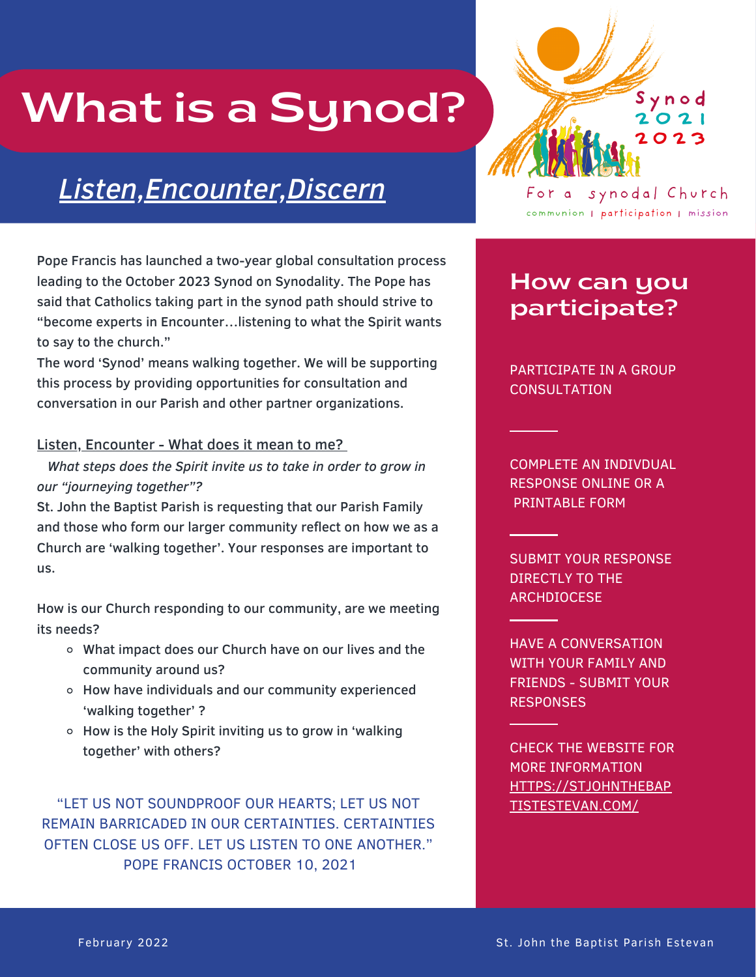# What is a Synod?

# *Listen,Encounter,Discern*

Pope Francis has launched a two-year global consultation process leading to the October 2023 Synod on Synodality. The Pope has said that Catholics taking part in the synod path should strive to "become experts in Encounter…listening to what the Spirit wants to say to the church."

The word 'Synod' means walking together. We will be supporting this process by providing opportunities for consultation and conversation in our Parish and other partner organizations.

#### Listen, Encounter - What does it mean to me?

*What steps does the Spirit invite us to take in order to grow in our "journeying together"?*

St. John the Baptist Parish is requesting that our Parish Family and those who form our larger community reflect on how we as a Church are 'walking together'. Your responses are important to us.

How is our Church responding to our community, are we meeting its needs?

- What impact does our Church have on our lives and the community around us?
- How have individuals and our community experienced 'walking together' ?
- How is the Holy Spirit inviting us to grow in 'walking together' with others?

"LET US NOT SOUNDPROOF OUR HEARTS; LET US NOT REMAIN BARRICADED IN OUR CERTAINTIES. CERTAINTIES OFTEN CLOSE US OFF. LET US LISTEN TO ONE ANOTHER." POPE FRANCIS OCTOBER 10, 2021



For a synodal Church communion | participation | mission

## How can you participate?

PARTICIPATE IN A GROUP **CONSULTATION** 

COMPLETE AN INDIVDUAL RESPONSE ONLINE OR A PRINTABLE FORM

SUBMIT YOUR RESPONSE DIRECTLY TO THE **ARCHDIOCESE** 

HAVE A CONVERSATION WITH YOUR FAMILY AND FRIENDS - SUBMIT YOUR **RESPONSES** 

CHECK THE WEBSITE FOR MORE INFORMATION HTTPS://STJOHNTHEBAP TISTESTEVAN.COM/